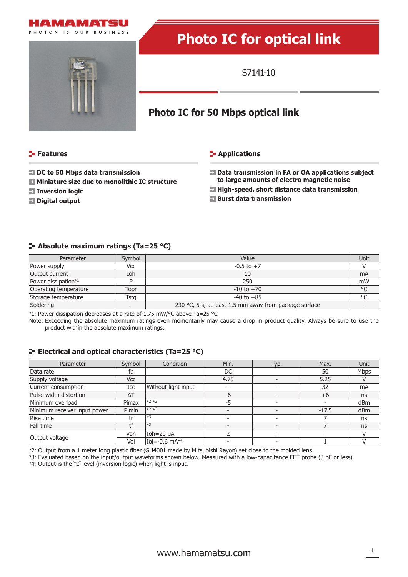



# **Photo IC for optical link**

S7141-10

## **Photo IC for 50 Mbps optical link**

#### **Features**

#### **E-** Applications

- **DC to 50 Mbps data transmission**
- **Miniature size due to monolithic IC structure**
- **External Inversion logic**
- **Digital output**

#### **Data transmission in FA or OA applications subject to large amounts of electro magnetic noise**

- **High-speed, short distance data transmission**
- **Burst data transmission**

#### **Absolute maximum ratings (Ta=25 °C)**

| Parameter             | Symbol     | Value                                                  |         |
|-----------------------|------------|--------------------------------------------------------|---------|
| Power supply          | <b>Vcc</b> | $-0.5$ to $+7$                                         |         |
| Output current        | Ioh        | 10                                                     | mA      |
| Power dissipation*1   |            | 250                                                    | mW      |
| Operating temperature | Topr       | $-10$ to $+70$                                         | °C      |
| Storage temperature   | Tstg       | $-40$ to $+85$                                         | $\circ$ |
| Soldering             |            | 230 °C, 5 s, at least 1.5 mm away from package surface |         |

\*1: Power dissipation decreases at a rate of 1.75 mW/°C above Ta=25 °C

Note: Exceeding the absolute maximum ratings even momentarily may cause a drop in product quality. Always be sure to use the product within the absolute maximum ratings.

#### **ELECTRICAL AND OPTICAL CHARACTERISTICS (Ta=25 °C)**

| Parameter                    | Symbol     | Condition                        | Min. | Typ. | Max.                     | Unit |
|------------------------------|------------|----------------------------------|------|------|--------------------------|------|
| Data rate                    | fD         |                                  | DC   |      | 50                       | Mbps |
| Supply voltage               | <b>Vcc</b> |                                  | 4.75 |      | 5.25                     |      |
| Current consumption          | Icc        | Without light input              |      |      | 32                       | mA   |
| Pulse width distortion       | ΔT         |                                  | $-6$ |      | $+6$                     | ns   |
| Minimum overload             | Pimax      | $*2*3$                           | $-5$ |      | $\overline{\phantom{0}}$ | dBm  |
| Minimum receiver input power | Pimin      | $*2*3$                           |      |      | $-17.5$                  | dBm  |
| Rise time                    | tr         | $\left  \ast \right $            |      |      |                          | ns   |
| Fall time                    |            | $ *3 $                           |      |      |                          | ns   |
| Output voltage               | Voh        | Ioh=20 µA                        |      |      |                          |      |
|                              | Vol        | $IoI = -0.6$ mA $*$ <sup>4</sup> |      |      |                          |      |

\*2: Output from a 1 meter long plastic fiber (GH4001 made by Mitsubishi Rayon) set close to the molded lens.

\*3: Evaluated based on the input/output waveforms shown below. Measured with a low-capacitance FET probe (3 pF or less).

\*4: Output is the "L" level (inversion logic) when light is input.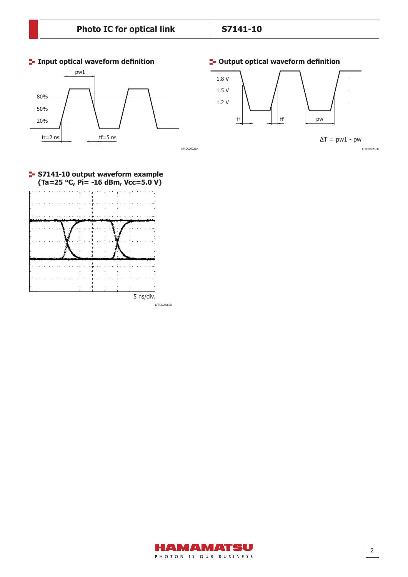





 $\Delta T = pw1 - pw$ 

KPICC0023EB



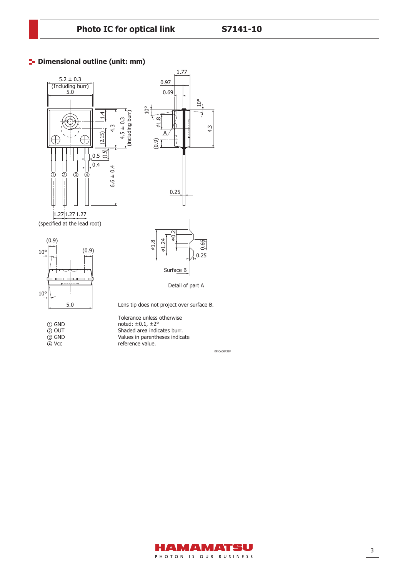### **P** Dimensional outline (unit: mm)



OUT GND

Vcc

Values in parentheses indicate reference value.

KPICA0043EF